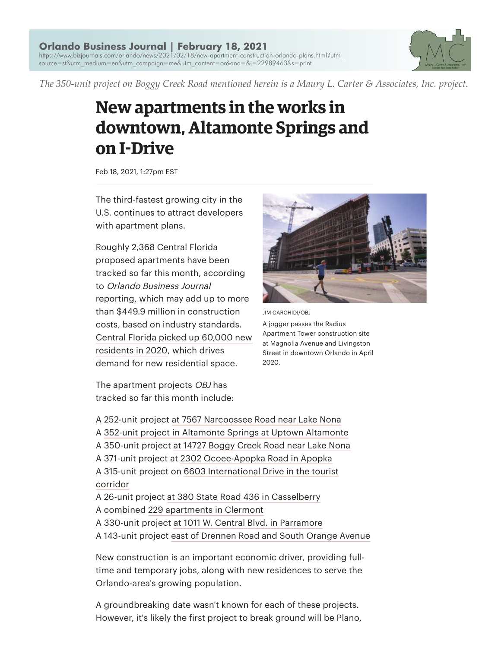

*The 350-unit project on Boggy Creek Road mentioned herein is a Maury L. Carter & Associates, Inc. project.*

## **New apartments in the works in downtown, Altamonte Springs and on IķDrive**

Feb 18, 2021, 1:27pm EST

The third-fastest growing city in the U.S. continues to attract developers with apartment plans.

Roughly 2,368 Central Florida proposed apartments have been tracked so far this month, according to Orlando Business Journal reporting, which may add up to more than \$449.9 million in construction costs, based on industry standards. Central Florida picked up 60,000 new residents in 2020, which drives demand for new residential space.



JIM CARCHIDI/OBJ

A jogger passes the Radius Apartment Tower construction site at Magnolia Avenue and Livingston Street in downtown Orlando in April 2020.

The apartment projects OBJ has tracked so far this month include:

A 252-unit project at 7567 Narcoossee Road near Lake Nona A 352-unit project in Altamonte Springs at Uptown Altamonte A 350-unit project at 14727 Boggy Creek Road near Lake Nona A 371-unit project at 2302 Ocoee-Apopka Road in Apopka A 315-unit project on 6603 International Drive in the tourist corridor A 26-unit project at 380 State Road 436 in Casselberry A combined 229 apartments in Clermont A 330-unit project at 1011 W. Central Blvd. in Parramore A 143-unit project east of Drennen Road and South Orange Avenue

New construction is an important economic driver, providing fulltime and temporary jobs, along with new residences to serve the Orlando-area's growing population.

A groundbreaking date wasn't known for each of these projects. However, it's likely the first project to break ground will be Plano,